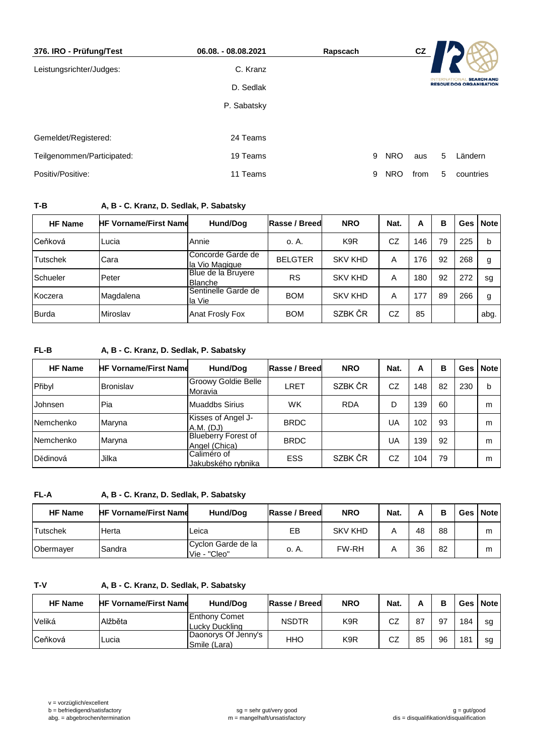| 376. IRO - Prüfung/Test    | 06.08. - 08.08.2021 | Rapscach |            | cz   |   |                                                     |
|----------------------------|---------------------|----------|------------|------|---|-----------------------------------------------------|
| Leistungsrichter/Judges:   | C. Kranz            |          |            |      |   |                                                     |
|                            | D. Sedlak           |          |            |      |   | <b>SEARCH AND</b><br><b>RESCUE DOG ORGANISATION</b> |
|                            | P. Sabatsky         |          |            |      |   |                                                     |
|                            |                     |          |            |      |   |                                                     |
| Gemeldet/Registered:       | 24 Teams            |          |            |      |   |                                                     |
| Teilgenommen/Participated: | 19 Teams            | 9        | <b>NRO</b> | aus  | 5 | Ländern                                             |
| Positiv/Positive:          | 11 Teams            | 9        | <b>NRO</b> | from | 5 | countries                                           |

## **T-B A, B - C. Kranz, D. Sedlak, P. Sabatsky**

| <b>HF Name</b>  | <b>HF Vorname/First Name</b> | Hund/Dog                                    | Rasse / Breed  | <b>NRO</b>       | Nat. | A   | в  | Ges | Note |
|-----------------|------------------------------|---------------------------------------------|----------------|------------------|------|-----|----|-----|------|
| Ceňková         | Lucia                        | Annie                                       | o. A.          | K <sub>9</sub> R | CZ   | 146 | 79 | 225 | b    |
| <b>Tutschek</b> | Cara                         | Concorde Garde de<br>la Vio Magique         | <b>BELGTER</b> | <b>SKV KHD</b>   | Α    | 176 | 92 | 268 | g    |
| Schueler        | Peter                        | <b>Blue de la Bruyere</b><br><b>Blanche</b> | <b>RS</b>      | <b>SKV KHD</b>   | Α    | 180 | 92 | 272 | sg   |
| Koczera         | Magdalena                    | Sentinelle Garde de<br>la Vie               | <b>BOM</b>     | <b>SKV KHD</b>   | Α    | 177 | 89 | 266 | g    |
| <b>Burda</b>    | Miroslav                     | <b>Anat Frosly Fox</b>                      | <b>BOM</b>     | SZBK ČR          | CZ   | 85  |    |     | abg. |

## **FL-B A, B - C. Kranz, D. Sedlak, P. Sabatsky**

| <b>HF Name</b> | <b>HF Vorname/First Name</b> | Hund/Dog                                    | Rasse / Breed | <b>NRO</b> | Nat. | A   | в  | <b>Ges</b> | Note |
|----------------|------------------------------|---------------------------------------------|---------------|------------|------|-----|----|------------|------|
| Přibyl         | <b>Bronislav</b>             | Groowy Goldie Belle<br>Moravia              | LRET          | SZBK ČR    | CZ   | 148 | 82 | 230        | b    |
| Johnsen        | Pia                          | Muaddbs Sirius                              | WK            | <b>RDA</b> | D    | 139 | 60 |            | m    |
| Nemchenko      | Maryna                       | Kisses of Angel J-<br>A.M. (DJ)             | <b>BRDC</b>   |            | UA   | 102 | 93 |            | m    |
| Nemchenko      | Maryna                       | <b>Blueberry Forest of</b><br>Angel (Chica) | <b>BRDC</b>   |            | UA   | 139 | 92 |            | m    |
| Dědinová       | Jilka                        | Caliméro of<br>Jakubského rybnika           | ESS           | SZBK ČR    | CZ   | 104 | 79 |            | m    |

## **FL-A A, B - C. Kranz, D. Sedlak, P. Sabatsky**

| <b>HF Name</b>  | <b>HF Vorname/First Name</b> | Hund/Dog                           | Rasse / Breed | <b>NRO</b>     | Nat. |    | в  | <b>Ges</b> | <b>Note</b> |
|-----------------|------------------------------|------------------------------------|---------------|----------------|------|----|----|------------|-------------|
| <b>Tutschek</b> | Herta                        | Leica                              | EВ            | <b>SKV KHD</b> |      | 48 | 88 |            | m           |
| Obermayer       | Sandra                       | Cyclon Garde de la<br>Vie - "Cleo" | o. A.         | <b>FW-RH</b>   | Α    | 36 | 82 |            | m           |

## **T-V A, B - C. Kranz, D. Sedlak, P. Sabatsky**

| <b>HF Name</b> | <b>HF Vorname/First Name</b> | Hund/Dog                               | Rasse / Breed | <b>NRO</b> | Nat. |    |    |     | Ges   Note |
|----------------|------------------------------|----------------------------------------|---------------|------------|------|----|----|-----|------------|
| Veliká         | Alžběta                      | <b>Enthony Comet</b><br>Lucky Duckling | <b>NSDTR</b>  | K9R        | CZ   | 87 | 97 | 184 | sg         |
| Ceňková        | ∟ucia                        | Daonorys Of Jenny's<br>(Smile (Lara)   | HHO           | K9R        | CZ   | 85 | 96 | 181 | sg         |